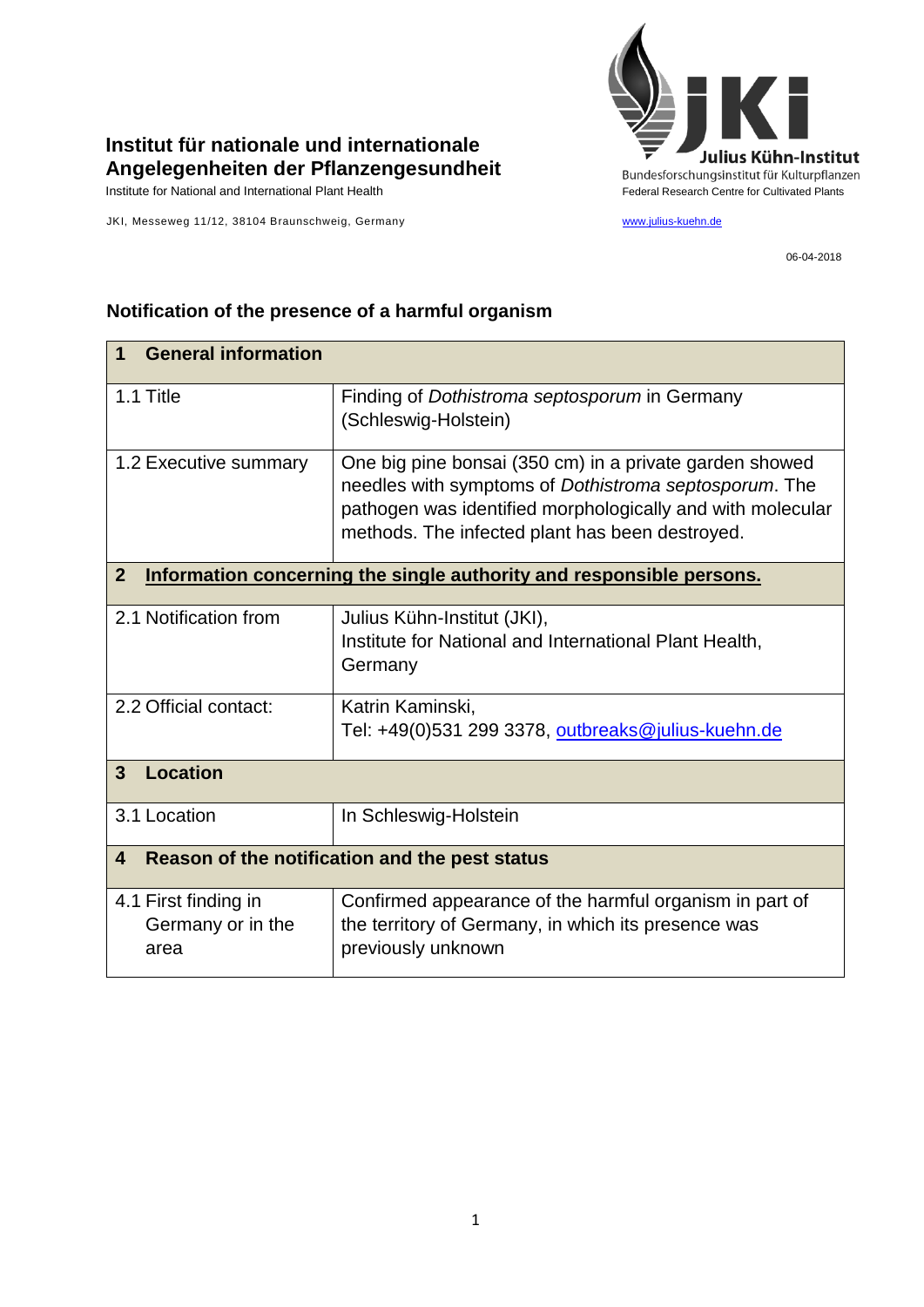

## **Institut für nationale und internationale Angelegenheiten der Pflanzengesundheit**

JKI, Messeweg 11/12, 38104 Braunschweig, Germany [www.julius-kuehn.de](http://www.julius-kuehn.de/)

06-04-2018

## **1 General information** 1.1 Title Finding of *Dothistroma septosporum* in Germany (Schleswig-Holstein) 1.2 Executive summary  $\vert$  One big pine bonsai (350 cm) in a private garden showed needles with symptoms of *Dothistroma septosporum*. The pathogen was identified morphologically and with molecular methods. The infected plant has been destroyed. **2 Information concerning the single authority and responsible persons.** 2.1 Notification from Julius Kühn-Institut (JKI), Institute for National and International Plant Health, **Germany** 2.2 Official contact: Katrin Kaminski, Tel: +49(0)531 299 3378, [outbreaks@julius-kuehn.de](mailto:outbreaks@julius-kuehn.de) **3 Location**  3.1 Location | In Schleswig-Holstein **4 Reason of the notification and the pest status** 4.1 First finding in Germany or in the area Confirmed appearance of the harmful organism in part of the territory of Germany, in which its presence was previously unknown

## **Notification of the presence of a harmful organism**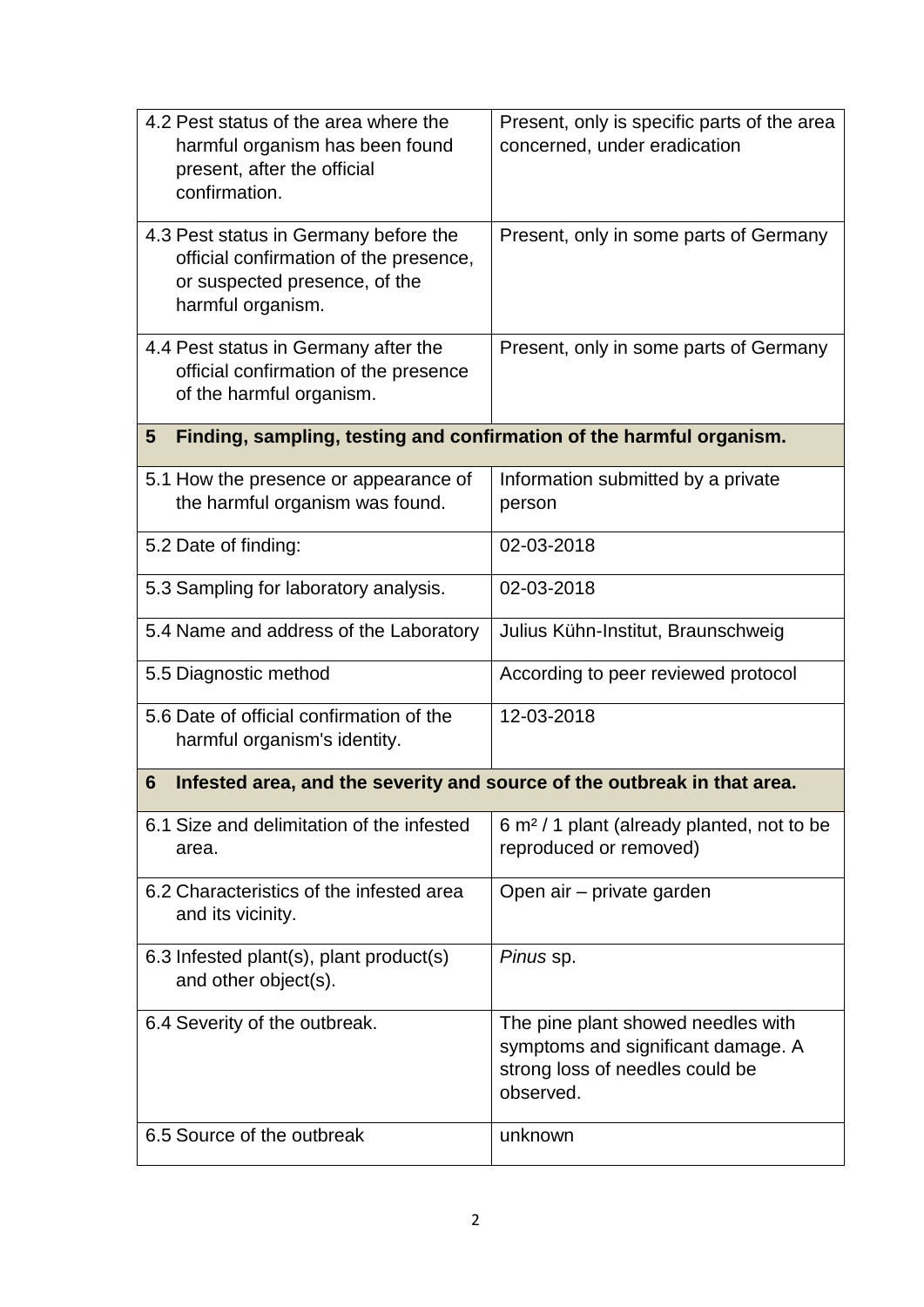| 4.2 Pest status of the area where the<br>harmful organism has been found<br>present, after the official<br>confirmation.              | Present, only is specific parts of the area<br>concerned, under eradication                                              |
|---------------------------------------------------------------------------------------------------------------------------------------|--------------------------------------------------------------------------------------------------------------------------|
| 4.3 Pest status in Germany before the<br>official confirmation of the presence,<br>or suspected presence, of the<br>harmful organism. | Present, only in some parts of Germany                                                                                   |
| 4.4 Pest status in Germany after the<br>official confirmation of the presence<br>of the harmful organism.                             | Present, only in some parts of Germany                                                                                   |
| Finding, sampling, testing and confirmation of the harmful organism.<br>5                                                             |                                                                                                                          |
| 5.1 How the presence or appearance of<br>the harmful organism was found.                                                              | Information submitted by a private<br>person                                                                             |
| 5.2 Date of finding:                                                                                                                  | 02-03-2018                                                                                                               |
| 5.3 Sampling for laboratory analysis.                                                                                                 | 02-03-2018                                                                                                               |
| 5.4 Name and address of the Laboratory                                                                                                | Julius Kühn-Institut, Braunschweig                                                                                       |
| 5.5 Diagnostic method                                                                                                                 | According to peer reviewed protocol                                                                                      |
| 5.6 Date of official confirmation of the<br>harmful organism's identity.                                                              | 12-03-2018                                                                                                               |
| Infested area, and the severity and source of the outbreak in that area.<br>6                                                         |                                                                                                                          |
| 6.1 Size and delimitation of the infested<br>area.                                                                                    | 6 m <sup>2</sup> / 1 plant (already planted, not to be<br>reproduced or removed)                                         |
| 6.2 Characteristics of the infested area<br>and its vicinity.                                                                         | Open air - private garden                                                                                                |
| 6.3 Infested plant(s), plant product(s)<br>and other object(s).                                                                       | Pinus sp.                                                                                                                |
| 6.4 Severity of the outbreak.                                                                                                         | The pine plant showed needles with<br>symptoms and significant damage. A<br>strong loss of needles could be<br>observed. |
| 6.5 Source of the outbreak                                                                                                            | unknown                                                                                                                  |